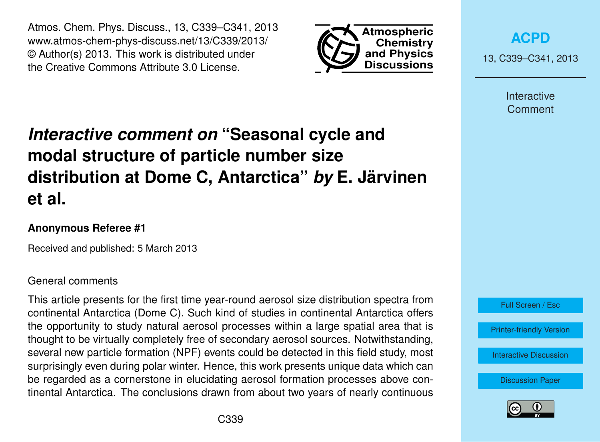Atmos. Chem. Phys. Discuss., 13, C339–C341, 2013 www.atmos-chem-phys-discuss.net/13/C339/2013/ © Author(s) 2013. This work is distributed under the Creative Commons Attribute 3.0 License.



**[ACPD](http://www.atmos-chem-phys-discuss.net)**

13, C339–C341, 2013

Interactive Comment

# *Interactive comment on* **"Seasonal cycle and modal structure of particle number size distribution at Dome C, Antarctica"** *by* **E. Järvinen et al.**

# **Anonymous Referee #1**

Received and published: 5 March 2013

#### General comments

This article presents for the first time year-round aerosol size distribution spectra from continental Antarctica (Dome C). Such kind of studies in continental Antarctica offers the opportunity to study natural aerosol processes within a large spatial area that is thought to be virtually completely free of secondary aerosol sources. Notwithstanding, several new particle formation (NPF) events could be detected in this field study, most surprisingly even during polar winter. Hence, this work presents unique data which can be regarded as a cornerstone in elucidating aerosol formation processes above continental Antarctica. The conclusions drawn from about two years of nearly continuous



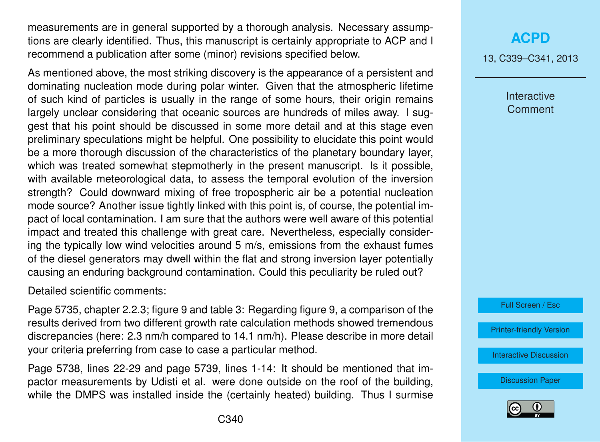measurements are in general supported by a thorough analysis. Necessary assumptions are clearly identified. Thus, this manuscript is certainly appropriate to ACP and I recommend a publication after some (minor) revisions specified below.

As mentioned above, the most striking discovery is the appearance of a persistent and dominating nucleation mode during polar winter. Given that the atmospheric lifetime of such kind of particles is usually in the range of some hours, their origin remains largely unclear considering that oceanic sources are hundreds of miles away. I suggest that his point should be discussed in some more detail and at this stage even preliminary speculations might be helpful. One possibility to elucidate this point would be a more thorough discussion of the characteristics of the planetary boundary layer, which was treated somewhat stepmotherly in the present manuscript. Is it possible, with available meteorological data, to assess the temporal evolution of the inversion strength? Could downward mixing of free tropospheric air be a potential nucleation mode source? Another issue tightly linked with this point is, of course, the potential impact of local contamination. I am sure that the authors were well aware of this potential impact and treated this challenge with great care. Nevertheless, especially considering the typically low wind velocities around 5 m/s, emissions from the exhaust fumes of the diesel generators may dwell within the flat and strong inversion layer potentially causing an enduring background contamination. Could this peculiarity be ruled out?

Detailed scientific comments:

Page 5735, chapter 2.2.3; figure 9 and table 3: Regarding figure 9, a comparison of the results derived from two different growth rate calculation methods showed tremendous discrepancies (here: 2.3 nm/h compared to 14.1 nm/h). Please describe in more detail your criteria preferring from case to case a particular method.

Page 5738, lines 22-29 and page 5739, lines 1-14: It should be mentioned that impactor measurements by Udisti et al. were done outside on the roof of the building, while the DMPS was installed inside the (certainly heated) building. Thus I surmise

## **[ACPD](http://www.atmos-chem-phys-discuss.net)**

13, C339–C341, 2013

**Interactive Comment** 

Full Screen / Esc

[Printer-friendly Version](http://www.atmos-chem-phys-discuss.net/13/C339/2013/acpd-13-C339-2013-print.pdf)

[Interactive Discussion](http://www.atmos-chem-phys-discuss.net/13/5729/2013/acpd-13-5729-2013-discussion.html)

[Discussion Paper](http://www.atmos-chem-phys-discuss.net/13/5729/2013/acpd-13-5729-2013.pdf)